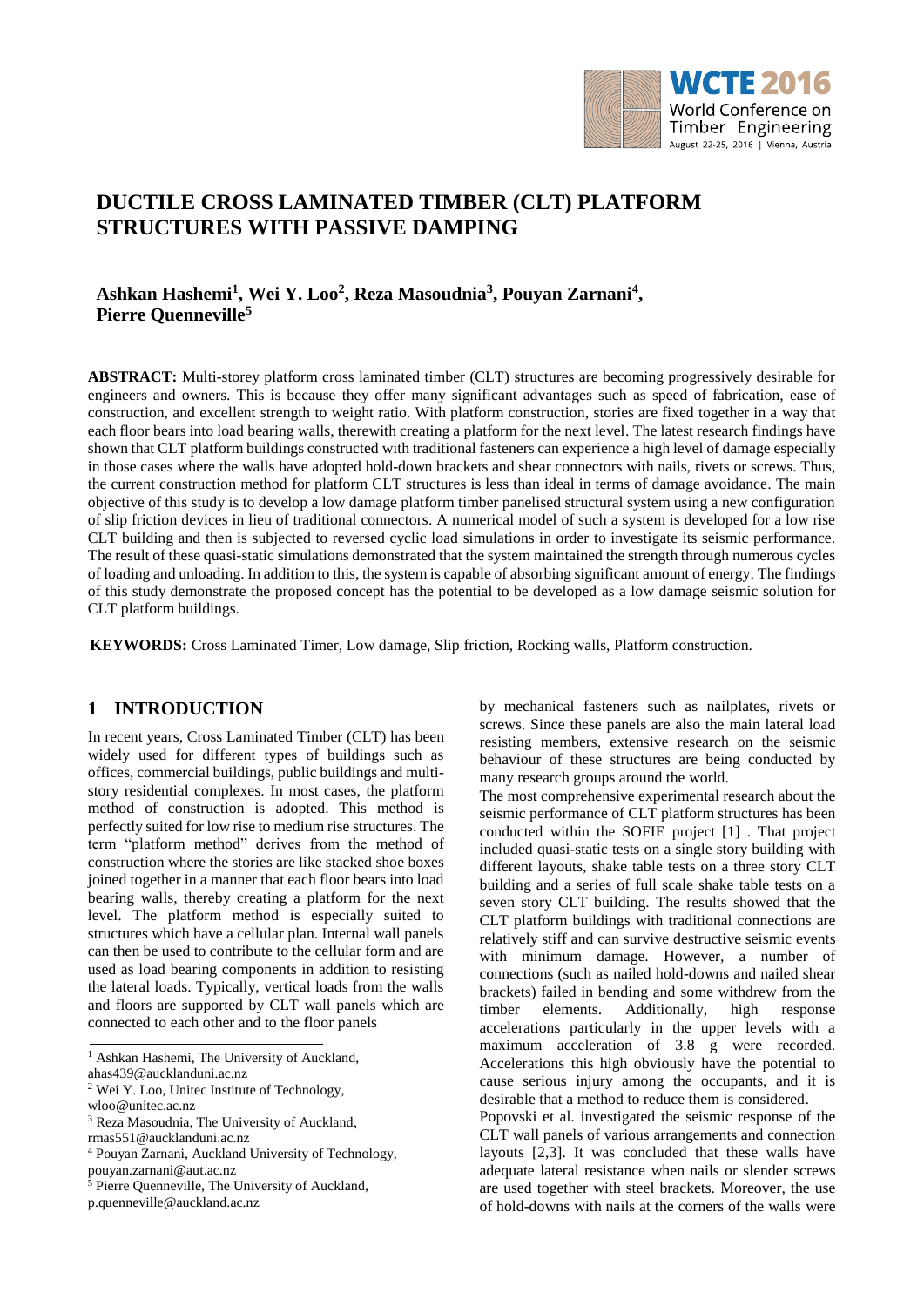

# **DUCTILE CROSS LAMINATED TIMBER (CLT) PLATFORM STRUCTURES WITH PASSIVE DAMPING**

# **Ashkan Hashemi<sup>1</sup> , Wei Y. Loo<sup>2</sup> , Reza Masoudnia<sup>3</sup> , Pouyan Zarnani<sup>4</sup> , Pierre Quenneville<sup>5</sup>**

**ABSTRACT:** Multi-storey platform cross laminated timber (CLT) structures are becoming progressively desirable for engineers and owners. This is because they offer many significant advantages such as speed of fabrication, ease of construction, and excellent strength to weight ratio. With platform construction, stories are fixed together in a way that each floor bears into load bearing walls, therewith creating a platform for the next level. The latest research findings have shown that CLT platform buildings constructed with traditional fasteners can experience a high level of damage especially in those cases where the walls have adopted hold-down brackets and shear connectors with nails, rivets or screws. Thus, the current construction method for platform CLT structures is less than ideal in terms of damage avoidance. The main objective of this study is to develop a low damage platform timber panelised structural system using a new configuration of slip friction devices in lieu of traditional connectors. A numerical model of such a system is developed for a low rise CLT building and then is subjected to reversed cyclic load simulations in order to investigate its seismic performance. The result of these quasi-static simulations demonstrated that the system maintained the strength through numerous cycles of loading and unloading. In addition to this, the system is capable of absorbing significant amount of energy. The findings of this study demonstrate the proposed concept has the potential to be developed as a low damage seismic solution for CLT platform buildings.

**KEYWORDS:** Cross Laminated Timer, Low damage, Slip friction, Rocking walls, Platform construction.

## **1 INTRODUCTION**

In recent years, Cross Laminated Timber (CLT) has been widely used for different types of buildings such as offices, commercial buildings, public buildings and multistory residential complexes. In most cases, the platform method of construction is adopted. This method is perfectly suited for low rise to medium rise structures. The term "platform method" derives from the method of construction where the stories are like stacked shoe boxes joined together in a manner that each floor bears into load bearing walls, thereby creating a platform for the next level. The platform method is especially suited to structures which have a cellular plan. Internal wall panels can then be used to contribute to the cellular form and are used as load bearing components in addition to resisting the lateral loads. Typically, vertical loads from the walls and floors are supported by CLT wall panels which are connected to each other and to the floor panels

p.quenneville@auckland.ac.nz

by mechanical fasteners such as nailplates, rivets or screws. Since these panels are also the main lateral load resisting members, extensive research on the seismic behaviour of these structures are being conducted by many research groups around the world.

The most comprehensive experimental research about the seismic performance of CLT platform structures has been conducted within the SOFIE project [1] . That project included quasi-static tests on a single story building with different layouts, shake table tests on a three story CLT building and a series of full scale shake table tests on a seven story CLT building. The results showed that the CLT platform buildings with traditional connections are relatively stiff and can survive destructive seismic events with minimum damage. However, a number of connections (such as nailed hold-downs and nailed shear brackets) failed in bending and some withdrew from the timber elements. Additionally, high response accelerations particularly in the upper levels with a maximum acceleration of 3.8 g were recorded. Accelerations this high obviously have the potential to cause serious injury among the occupants, and it is desirable that a method to reduce them is considered.

Popovski et al. investigated the seismic response of the CLT wall panels of various arrangements and connection layouts [2,3]. It was concluded that these walls have adequate lateral resistance when nails or slender screws are used together with steel brackets. Moreover, the use of hold-downs with nails at the corners of the walls were

<sup>&</sup>lt;sup>1</sup> Ashkan Hashemi, The University of Auckland, [ahas439@aucklanduni.ac.nz](mailto:ahas439@aucklanduni.ac.nz)

<sup>2</sup> Wei Y. Loo, Unitec Institute of Technology, wloo@unitec.ac.nz

<sup>&</sup>lt;sup>3</sup> Reza Masoudnia, The University of Auckland,

[rmas551@aucklanduni.ac.nz](mailto:rmas551@aucklanduni.ac.nz)

<sup>4</sup> Pouyan Zarnani, Auckland University of Technology, pouyan.zarnani@aut.ac.nz

<sup>&</sup>lt;sup>5</sup> Pierre Quenneville, The University of Auckland,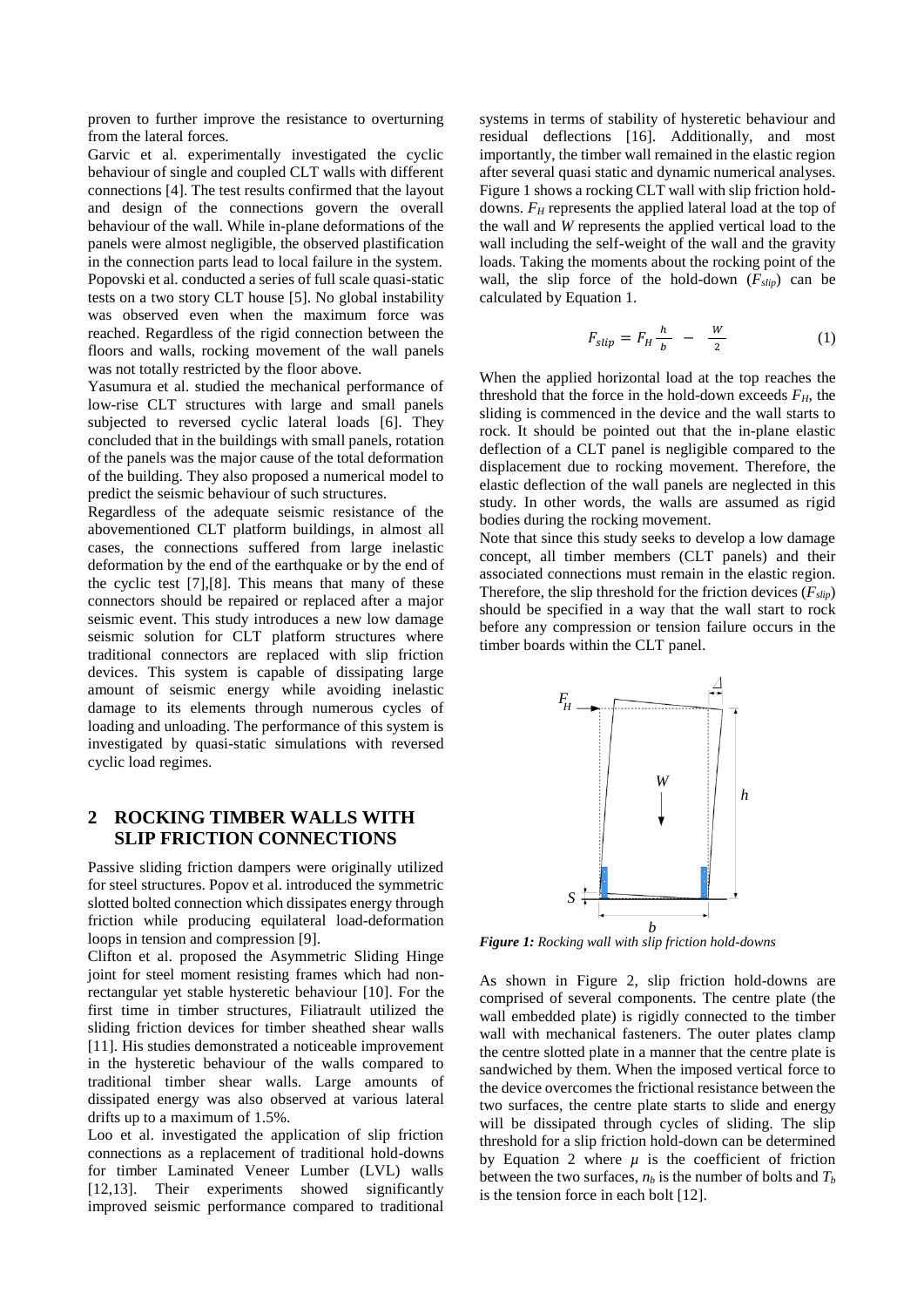proven to further improve the resistance to overturning from the lateral forces.

Garvic et al. experimentally investigated the cyclic behaviour of single and coupled CLT walls with different connections [4]. The test results confirmed that the layout and design of the connections govern the overall behaviour of the wall. While in-plane deformations of the panels were almost negligible, the observed plastification in the connection parts lead to local failure in the system. Popovski et al. conducted a series of full scale quasi-static tests on a two story CLT house [5]. No global instability was observed even when the maximum force was reached. Regardless of the rigid connection between the floors and walls, rocking movement of the wall panels was not totally restricted by the floor above.

Yasumura et al. studied the mechanical performance of low-rise CLT structures with large and small panels subjected to reversed cyclic lateral loads [6]. They concluded that in the buildings with small panels, rotation of the panels was the major cause of the total deformation of the building. They also proposed a numerical model to predict the seismic behaviour of such structures.

Regardless of the adequate seismic resistance of the abovementioned CLT platform buildings, in almost all cases, the connections suffered from large inelastic deformation by the end of the earthquake or by the end of the cyclic test [7],[8]. This means that many of these connectors should be repaired or replaced after a major seismic event. This study introduces a new low damage seismic solution for CLT platform structures where traditional connectors are replaced with slip friction devices. This system is capable of dissipating large amount of seismic energy while avoiding inelastic damage to its elements through numerous cycles of loading and unloading. The performance of this system is investigated by quasi-static simulations with reversed cyclic load regimes.

## **2 ROCKING TIMBER WALLS WITH SLIP FRICTION CONNECTIONS**

Passive sliding friction dampers were originally utilized for steel structures. Popov et al. introduced the symmetric slotted bolted connection which dissipates energy through friction while producing equilateral load-deformation loops in tension and compression [9].

Clifton et al. proposed the Asymmetric Sliding Hinge joint for steel moment resisting frames which had nonrectangular yet stable hysteretic behaviour [10]. For the first time in timber structures, Filiatrault utilized the sliding friction devices for timber sheathed shear walls [11]. His studies demonstrated a noticeable improvement in the hysteretic behaviour of the walls compared to traditional timber shear walls. Large amounts of dissipated energy was also observed at various lateral drifts up to a maximum of 1.5%.

Loo et al. investigated the application of slip friction connections as a replacement of traditional hold-downs for timber Laminated Veneer Lumber (LVL) walls [12,13]. Their experiments showed significantly improved seismic performance compared to traditional

systems in terms of stability of hysteretic behaviour and residual deflections [16]. Additionally, and most importantly, the timber wall remained in the elastic region after several quasi static and dynamic numerical analyses. Figure 1 shows a rocking CLT wall with slip friction holddowns. *F<sup>H</sup>* represents the applied lateral load at the top of the wall and *W* represents the applied vertical load to the wall including the self-weight of the wall and the gravity loads. Taking the moments about the rocking point of the wall, the slip force of the hold-down  $(F_{slip})$  can be calculated by Equation 1.

$$
F_{slip} = F_H \frac{h}{b} - \frac{W}{2} \tag{1}
$$

When the applied horizontal load at the top reaches the threshold that the force in the hold-down exceeds  $F<sub>H</sub>$ , the sliding is commenced in the device and the wall starts to rock. It should be pointed out that the in-plane elastic deflection of a CLT panel is negligible compared to the displacement due to rocking movement. Therefore, the elastic deflection of the wall panels are neglected in this study. In other words, the walls are assumed as rigid bodies during the rocking movement.

Note that since this study seeks to develop a low damage concept, all timber members (CLT panels) and their associated connections must remain in the elastic region. Therefore, the slip threshold for the friction devices (*Fslip*) should be specified in a way that the wall start to rock before any compression or tension failure occurs in the timber boards within the CLT panel.



*Figure 1: Rocking wall with slip friction hold-downs*

As shown in Figure 2, slip friction hold-downs are comprised of several components. The centre plate (the wall embedded plate) is rigidly connected to the timber wall with mechanical fasteners. The outer plates clamp the centre slotted plate in a manner that the centre plate is sandwiched by them. When the imposed vertical force to the device overcomes the frictional resistance between the two surfaces, the centre plate starts to slide and energy will be dissipated through cycles of sliding. The slip threshold for a slip friction hold-down can be determined by Equation 2 where  $\mu$  is the coefficient of friction between the two surfaces,  $n_b$  is the number of bolts and  $T_b$ is the tension force in each bolt [12].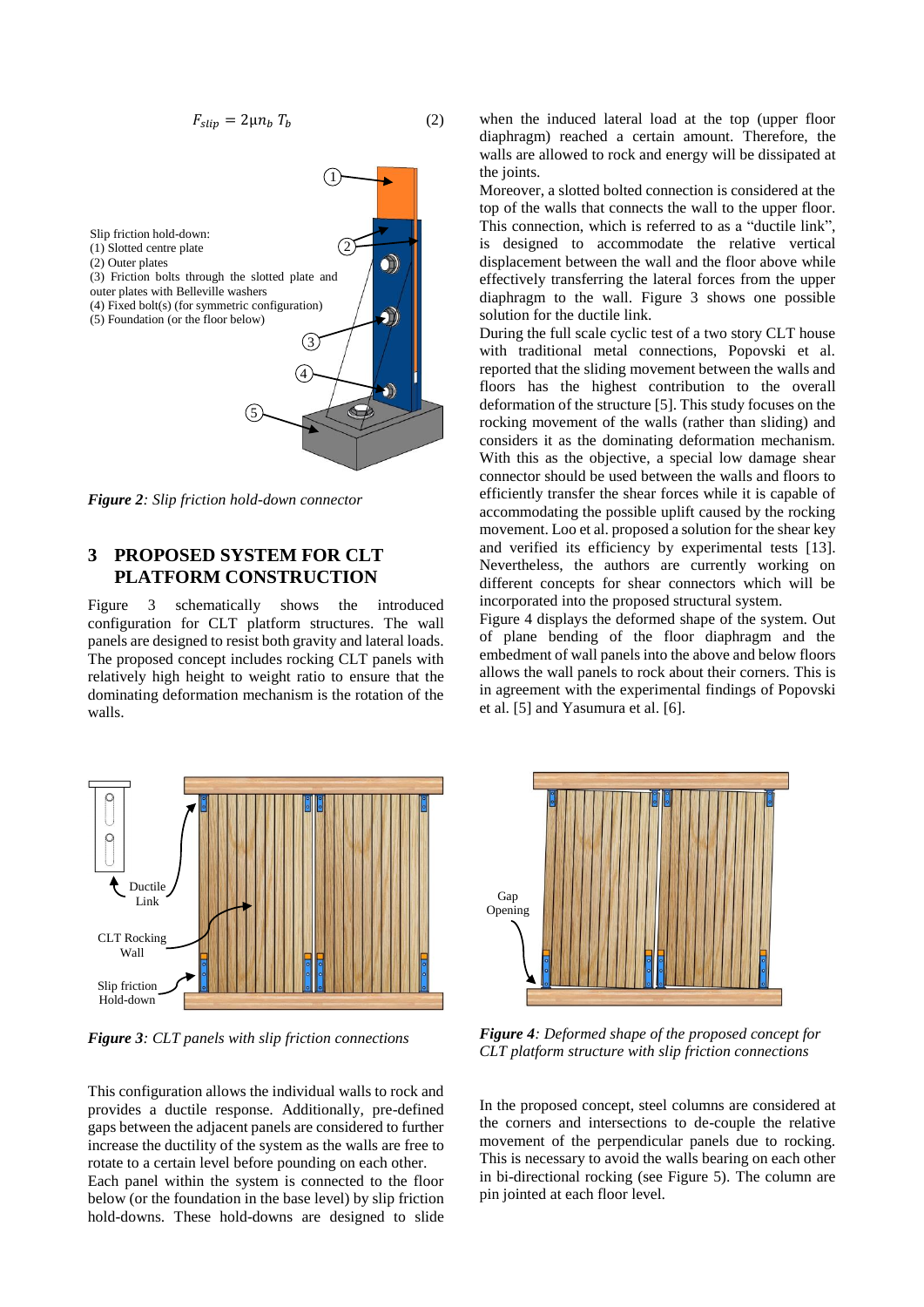$$
F_{slip} = 2\mu n_b T_b \tag{2}
$$



*Figure 2: Slip friction hold-down connector*

### **3 PROPOSED SYSTEM FOR CLT PLATFORM CONSTRUCTION**

Figure 3 schematically shows the introduced configuration for CLT platform structures. The wall panels are designed to resist both gravity and lateral loads. The proposed concept includes rocking CLT panels with relatively high height to weight ratio to ensure that the dominating deformation mechanism is the rotation of the walls.



*Figure 3: CLT panels with slip friction connections*

This configuration allows the individual walls to rock and provides a ductile response. Additionally, pre-defined gaps between the adjacent panels are considered to further increase the ductility of the system as the walls are free to rotate to a certain level before pounding on each other. Each panel within the system is connected to the floor

below (or the foundation in the base level) by slip friction hold-downs. These hold-downs are designed to slide

when the induced lateral load at the top (upper floor diaphragm) reached a certain amount. Therefore, the walls are allowed to rock and energy will be dissipated at the joints.

Moreover, a slotted bolted connection is considered at the top of the walls that connects the wall to the upper floor. This connection, which is referred to as a "ductile link", is designed to accommodate the relative vertical displacement between the wall and the floor above while effectively transferring the lateral forces from the upper diaphragm to the wall. Figure 3 shows one possible solution for the ductile link.

During the full scale cyclic test of a two story CLT house with traditional metal connections, Popovski et al. reported that the sliding movement between the walls and floors has the highest contribution to the overall deformation of the structure [5]. This study focuses on the rocking movement of the walls (rather than sliding) and considers it as the dominating deformation mechanism. With this as the objective, a special low damage shear connector should be used between the walls and floors to efficiently transfer the shear forces while it is capable of accommodating the possible uplift caused by the rocking movement. Loo et al. proposed a solution for the shear key and verified its efficiency by experimental tests [13]. Nevertheless, the authors are currently working on different concepts for shear connectors which will be incorporated into the proposed structural system.

Figure 4 displays the deformed shape of the system. Out of plane bending of the floor diaphragm and the embedment of wall panels into the above and below floors allows the wall panels to rock about their corners. This is in agreement with the experimental findings of Popovski et al. [5] and Yasumura et al. [6].



*Figure 4: Deformed shape of the proposed concept for CLT platform structure with slip friction connections*

In the proposed concept, steel columns are considered at the corners and intersections to de-couple the relative movement of the perpendicular panels due to rocking. This is necessary to avoid the walls bearing on each other in bi-directional rocking (see Figure 5). The column are pin jointed at each floor level.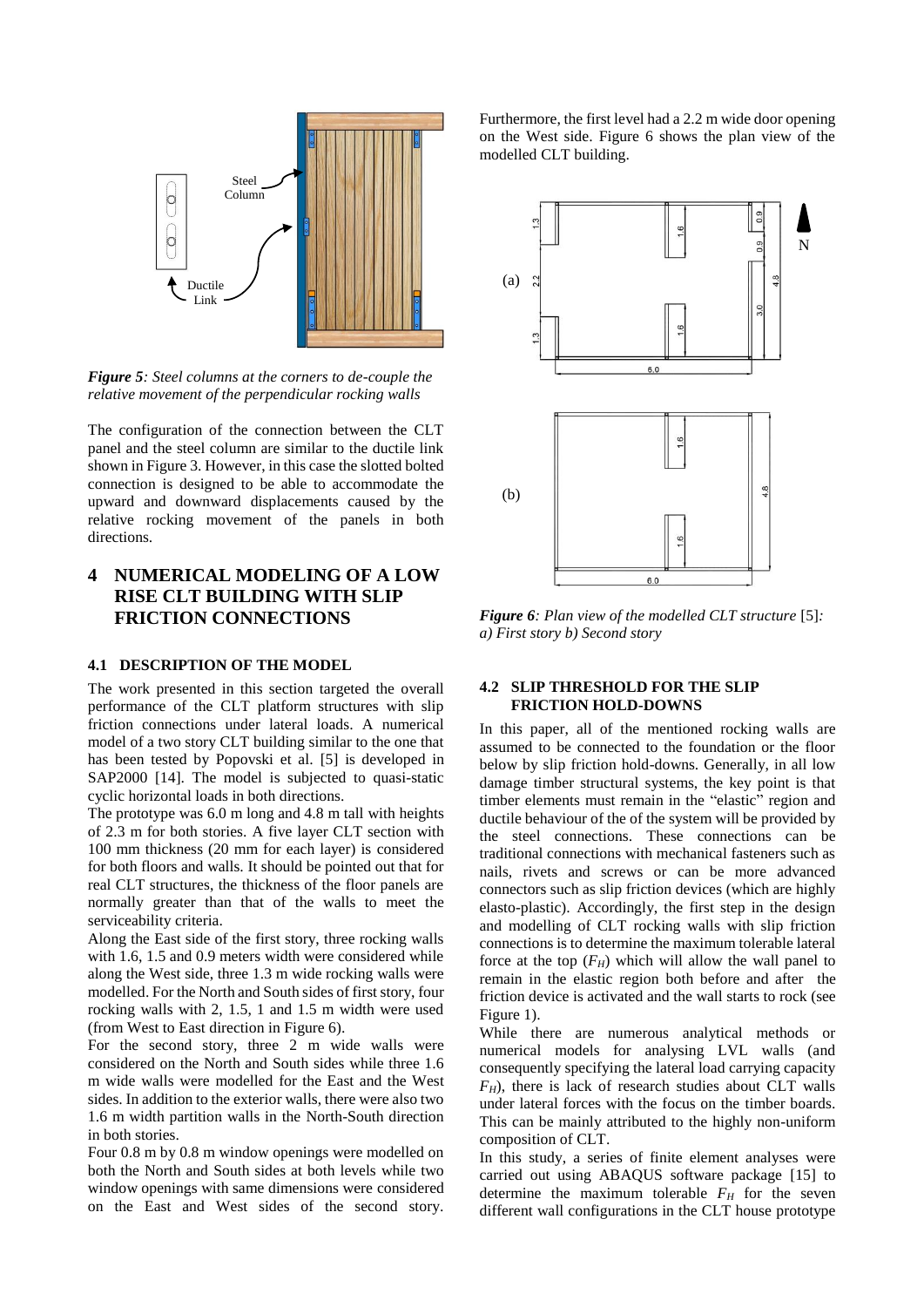

*Figure 5: Steel columns at the corners to de-couple the relative movement of the perpendicular rocking walls*

The configuration of the connection between the CLT panel and the steel column are similar to the ductile link shown in Figure 3. However, in this case the slotted bolted connection is designed to be able to accommodate the upward and downward displacements caused by the relative rocking movement of the panels in both directions.

# **4 NUMERICAL MODELING OF A LOW RISE CLT BUILDING WITH SLIP FRICTION CONNECTIONS**

#### **4.1 DESCRIPTION OF THE MODEL**

The work presented in this section targeted the overall performance of the CLT platform structures with slip friction connections under lateral loads. A numerical model of a two story CLT building similar to the one that has been tested by Popovski et al. [5] is developed in SAP2000 [14]. The model is subjected to quasi-static cyclic horizontal loads in both directions.

The prototype was 6.0 m long and 4.8 m tall with heights of 2.3 m for both stories. A five layer CLT section with 100 mm thickness (20 mm for each layer) is considered for both floors and walls. It should be pointed out that for real CLT structures, the thickness of the floor panels are normally greater than that of the walls to meet the serviceability criteria.

Along the East side of the first story, three rocking walls with 1.6, 1.5 and 0.9 meters width were considered while along the West side, three 1.3 m wide rocking walls were modelled. For the North and South sides of first story, four rocking walls with 2, 1.5, 1 and 1.5 m width were used (from West to East direction in Figure 6).

For the second story, three 2 m wide walls were considered on the North and South sides while three 1.6 m wide walls were modelled for the East and the West sides. In addition to the exterior walls, there were also two 1.6 m width partition walls in the North-South direction in both stories.

Four 0.8 m by 0.8 m window openings were modelled on both the North and South sides at both levels while two window openings with same dimensions were considered on the East and West sides of the second story.

Furthermore, the first level had a 2.2 m wide door opening on the West side. Figure 6 shows the plan view of the modelled CLT building.



*Figure 6: Plan view of the modelled CLT structure* [5]*: a) First story b) Second story*

#### **4.2 SLIP THRESHOLD FOR THE SLIP FRICTION HOLD-DOWNS**

In this paper, all of the mentioned rocking walls are assumed to be connected to the foundation or the floor below by slip friction hold-downs. Generally, in all low damage timber structural systems, the key point is that timber elements must remain in the "elastic" region and ductile behaviour of the of the system will be provided by the steel connections. These connections can be traditional connections with mechanical fasteners such as nails, rivets and screws or can be more advanced connectors such as slip friction devices (which are highly elasto-plastic). Accordingly, the first step in the design and modelling of CLT rocking walls with slip friction connections is to determine the maximum tolerable lateral force at the top  $(F_H)$  which will allow the wall panel to remain in the elastic region both before and after the friction device is activated and the wall starts to rock (see Figure 1).

While there are numerous analytical methods or numerical models for analysing LVL walls (and consequently specifying the lateral load carrying capacity *FH*), there is lack of research studies about CLT walls under lateral forces with the focus on the timber boards. This can be mainly attributed to the highly non-uniform composition of CLT.

In this study, a series of finite element analyses were carried out using ABAQUS software package [15] to determine the maximum tolerable  $F_H$  for the seven different wall configurations in the CLT house prototype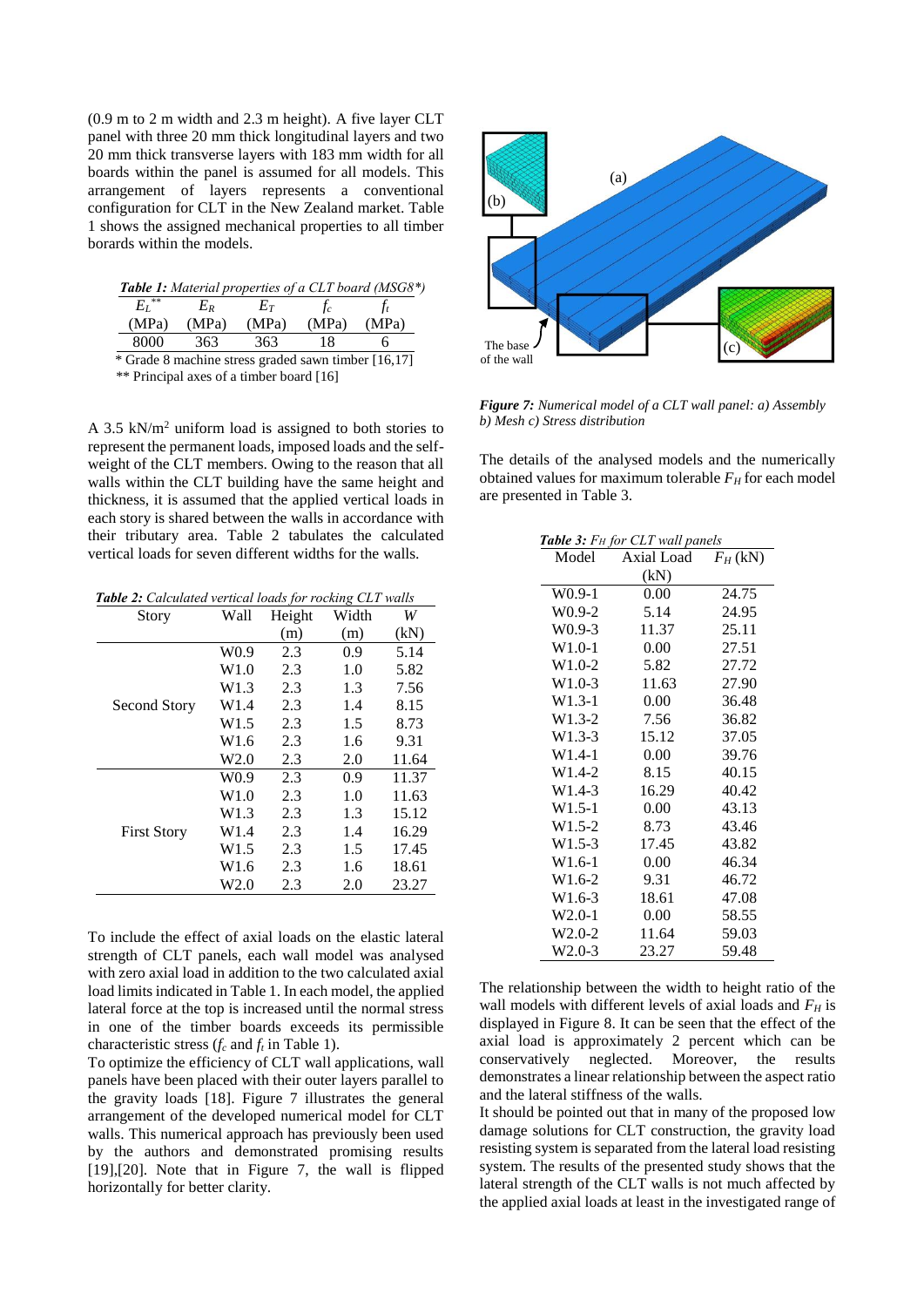(0.9 m to 2 m width and 2.3 m height). A five layer CLT panel with three 20 mm thick longitudinal layers and two 20 mm thick transverse layers with 183 mm width for all boards within the panel is assumed for all models. This arrangement of layers represents a conventional configuration for CLT in the New Zealand market. Table 1 shows the assigned mechanical properties to all timber borards within the models.

| $E_I^{\;\;\ast\ast}$ | Еĸ    | Eт    |       |       |
|----------------------|-------|-------|-------|-------|
| (MPa)                | (MPa) | (MPa) | (MPa) | (MPa) |
| 8000                 | 363   | 363   |       |       |

\*\* Principal axes of a timber board [16]

A 3.5 kN/m<sup>2</sup> uniform load is assigned to both stories to represent the permanent loads, imposed loads and the selfweight of the CLT members. Owing to the reason that all walls within the CLT building have the same height and thickness, it is assumed that the applied vertical loads in each story is shared between the walls in accordance with their tributary area. Table 2 tabulates the calculated vertical loads for seven different widths for the walls.

 *Table 2: Calculated vertical loads for rocking CLT walls*

| Story              | Wall             | Height | Width | W     |
|--------------------|------------------|--------|-------|-------|
|                    |                  | (m)    | (m)   | (kN)  |
|                    | W <sub>0.9</sub> | 2.3    | 0.9   | 5.14  |
|                    | W1.0             | 2.3    | 1.0   | 5.82  |
|                    | W1.3             | 2.3    | 1.3   | 7.56  |
| Second Story       | W1.4             | 2.3    | 1.4   | 8.15  |
|                    | W1.5             | 2.3    | 1.5   | 8.73  |
|                    | W <sub>1.6</sub> | 2.3    | 1.6   | 9.31  |
|                    | W2.0             | 2.3    | 2.0   | 11.64 |
|                    | W <sub>0.9</sub> | 2.3    | 0.9   | 11.37 |
|                    | W1.0             | 2.3    | 1.0   | 11.63 |
|                    | W1.3             | 2.3    | 1.3   | 15.12 |
| <b>First Story</b> | W1.4             | 2.3    | 1.4   | 16.29 |
|                    | W <sub>1.5</sub> | 2.3    | 1.5   | 17.45 |
|                    | W1.6             | 2.3    | 1.6   | 18.61 |
|                    | W2.0             | 2.3    | 2.0   | 23.27 |

To include the effect of axial loads on the elastic lateral strength of CLT panels, each wall model was analysed with zero axial load in addition to the two calculated axial load limits indicated in Table 1. In each model, the applied lateral force at the top is increased until the normal stress in one of the timber boards exceeds its permissible characteristic stress (*f<sup>c</sup>* and *f<sup>t</sup>* in Table 1).

To optimize the efficiency of CLT wall applications, wall panels have been placed with their outer layers parallel to the gravity loads [18]. Figure 7 illustrates the general arrangement of the developed numerical model for CLT walls. This numerical approach has previously been used by the authors and demonstrated promising results [19],[20]. Note that in Figure 7, the wall is flipped horizontally for better clarity.



*Figure 7: Numerical model of a CLT wall panel: a) Assembly b) Mesh c) Stress distribution*

The details of the analysed models and the numerically obtained values for maximum tolerable  $F_H$  for each model are presented in Table 3.

| <b>Table 3:</b> $F_H$ for CLT wall panels |            |            |  |
|-------------------------------------------|------------|------------|--|
| Model                                     | Axial Load | $F_H$ (kN) |  |
|                                           | (kN)       |            |  |
| $W0.9-1$                                  | 0.00       | 24.75      |  |
| $W0.9-2$                                  | 5.14       | 24.95      |  |
| $W0.9-3$                                  | 11.37      | 25.11      |  |
| $W1.0-1$                                  | 0.00       | 27.51      |  |
| $W1.0-2$                                  | 5.82       | 27.72      |  |
| $W1.0-3$                                  | 11.63      | 27.90      |  |
| $W1.3-1$                                  | 0.00       | 36.48      |  |
| $W1.3-2$                                  | 7.56       | 36.82      |  |
| $W1.3-3$                                  | 15.12      | 37.05      |  |
| $W1.4-1$                                  | 0.00       | 39.76      |  |
| $W1.4-2$                                  | 8.15       | 40.15      |  |
| W <sub>1.4-3</sub>                        | 16.29      | 40.42      |  |
| $W1.5-1$                                  | 0.00       | 43.13      |  |
| $W1.5-2$                                  | 8.73       | 43.46      |  |
| $W1.5-3$                                  | 17.45      | 43.82      |  |
| $W1.6-1$                                  | 0.00       | 46.34      |  |
| $W1.6-2$                                  | 9.31       | 46.72      |  |
| $W1.6-3$                                  | 18.61      | 47.08      |  |
| W2.0-1                                    | 0.00       | 58.55      |  |
| W <sub>2.0</sub> -2                       | 11.64      | 59.03      |  |
| $W2.0-3$                                  | 23.27      | 59.48      |  |

| W1.4-1             | 0.00                                                          | 39.76 |  |
|--------------------|---------------------------------------------------------------|-------|--|
| W <sub>1.4-2</sub> | 8.15                                                          | 40.15 |  |
| W1.4-3             | 16.29                                                         | 40.42 |  |
| $W1.5-1$           | 0.00                                                          | 43.13 |  |
| W <sub>1.5-2</sub> | 8.73                                                          | 43.46 |  |
| W1.5-3             | 17.45                                                         | 43.82 |  |
| W1.6-1             | $0.00\,$                                                      | 46.34 |  |
| W <sub>1.6-2</sub> | 9.31                                                          | 46.72 |  |
| W1.6-3             | 18.61                                                         | 47.08 |  |
| W2.0-1             | $0.00\,$                                                      | 58.55 |  |
| $W2.0-2$           | 11.64                                                         | 59.03 |  |
| $W2.0-3$           | 23.27                                                         | 59.48 |  |
|                    |                                                               |       |  |
|                    | The relationship between the width to height ratio of the     |       |  |
|                    | wall models with different levels of axial loads and $F_H$ is |       |  |
|                    | displayed in Figure 8. It can be seen that the effect of the  |       |  |
|                    | axial load is approximately 2 percent which can be            |       |  |
|                    |                                                               |       |  |
|                    | conservatively neglected. Moreover, the results               |       |  |
|                    | demonstrates a linear relationship between the aspect ratio   |       |  |
|                    | and the lateral stiffness of the walls.                       |       |  |

It should be pointed out that in many of the proposed low damage solutions for CLT construction, the gravity load resisting system is separated from the lateral load resisting system. The results of the presented study shows that the lateral strength of the CLT walls is not much affected by the applied axial loads at least in the investigated range of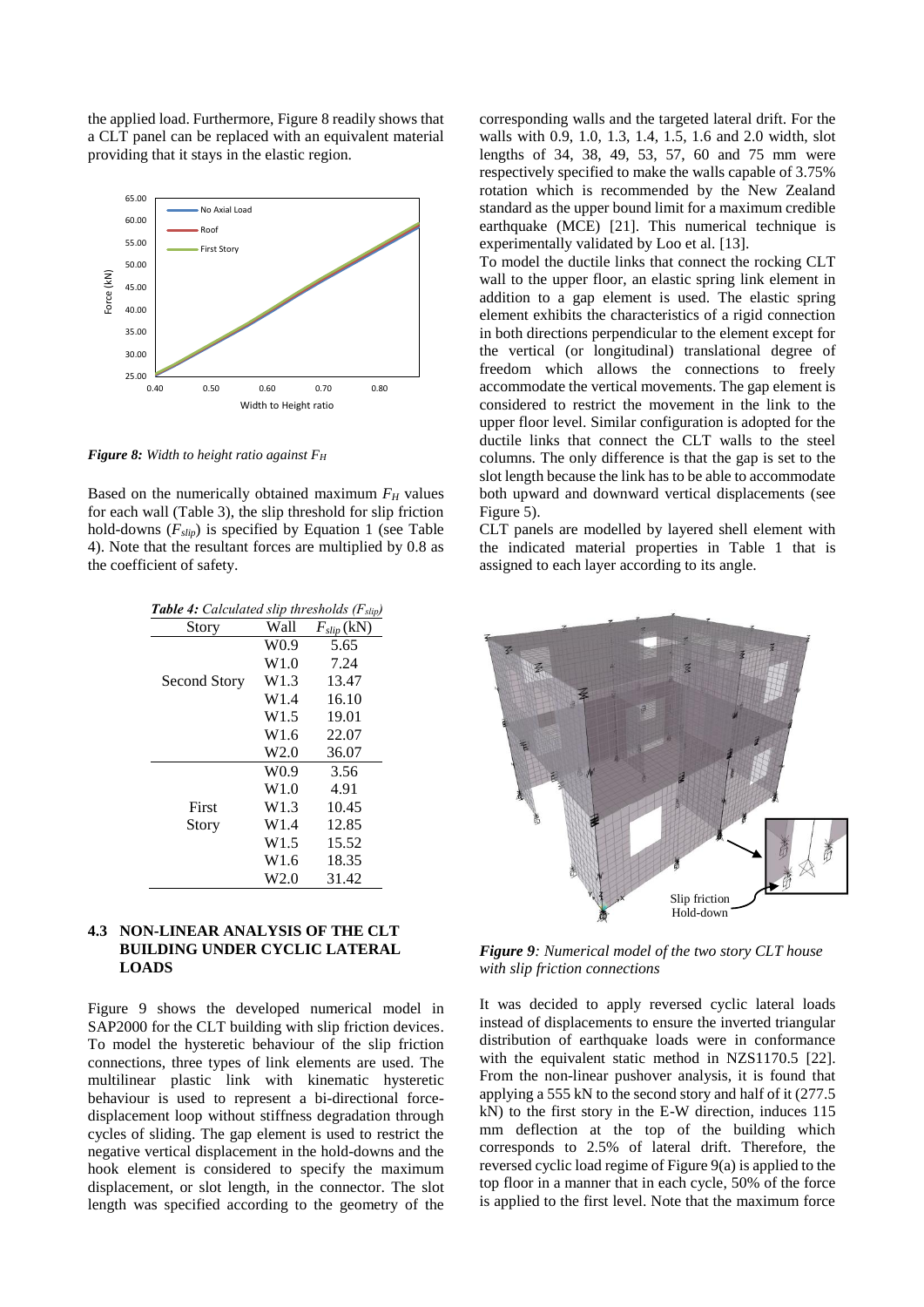the applied load. Furthermore, Figure 8 readily shows that a CLT panel can be replaced with an equivalent material providing that it stays in the elastic region.



*Figure 8: Width to height ratio against F<sup>H</sup>*

Based on the numerically obtained maximum *F<sup>H</sup>* values for each wall (Table 3), the slip threshold for slip friction hold-downs (*Fslip*) is specified by Equation 1 (see Table 4). Note that the resultant forces are multiplied by 0.8 as the coefficient of safety.

| <b>Table 4:</b> Calculated slip thresholds $(F_{slip})$ |                  |                 |
|---------------------------------------------------------|------------------|-----------------|
| Story                                                   | Wall             | $F_{slip}$ (kN) |
|                                                         | W <sub>0.9</sub> | 5.65            |
|                                                         | W1.0             | 7.24            |
| Second Story                                            | W1.3             | 13.47           |
|                                                         | W <sub>1.4</sub> | 16.10           |
|                                                         | W1.5             | 19.01           |
|                                                         | W <sub>1.6</sub> | 22.07           |
|                                                         | W2.0             | 36.07           |
|                                                         | W <sub>0.9</sub> | 3.56            |
|                                                         | W1.0             | 4.91            |
| First                                                   | W <sub>1.3</sub> | 10.45           |
| Story                                                   | W <sub>1.4</sub> | 12.85           |
|                                                         | W <sub>1.5</sub> | 15.52           |
|                                                         | W <sub>1.6</sub> | 18.35           |
|                                                         | W2.0             | 31.42           |

#### **4.3 NON-LINEAR ANALYSIS OF THE CLT BUILDING UNDER CYCLIC LATERAL LOADS**

Figure 9 shows the developed numerical model in SAP2000 for the CLT building with slip friction devices. To model the hysteretic behaviour of the slip friction connections, three types of link elements are used. The multilinear plastic link with kinematic hysteretic behaviour is used to represent a bi-directional forcedisplacement loop without stiffness degradation through cycles of sliding. The gap element is used to restrict the negative vertical displacement in the hold-downs and the hook element is considered to specify the maximum displacement, or slot length, in the connector. The slot length was specified according to the geometry of the

corresponding walls and the targeted lateral drift. For the walls with 0.9, 1.0, 1.3, 1.4, 1.5, 1.6 and 2.0 width, slot lengths of 34, 38, 49, 53, 57, 60 and 75 mm were respectively specified to make the walls capable of 3.75% rotation which is recommended by the New Zealand standard as the upper bound limit for a maximum credible earthquake (MCE) [21]. This numerical technique is experimentally validated by Loo et al. [13].

To model the ductile links that connect the rocking CLT wall to the upper floor, an elastic spring link element in addition to a gap element is used. The elastic spring element exhibits the characteristics of a rigid connection in both directions perpendicular to the element except for the vertical (or longitudinal) translational degree of freedom which allows the connections to freely accommodate the vertical movements. The gap element is considered to restrict the movement in the link to the upper floor level. Similar configuration is adopted for the ductile links that connect the CLT walls to the steel columns. The only difference is that the gap is set to the slot length because the link has to be able to accommodate both upward and downward vertical displacements (see Figure 5).

CLT panels are modelled by layered shell element with the indicated material properties in Table 1 that is assigned to each layer according to its angle.



*Figure 9: Numerical model of the two story CLT house with slip friction connections* 

It was decided to apply reversed cyclic lateral loads instead of displacements to ensure the inverted triangular distribution of earthquake loads were in conformance with the equivalent static method in NZS1170.5 [22]. From the non-linear pushover analysis, it is found that applying a 555 kN to the second story and half of it (277.5 kN) to the first story in the E-W direction, induces 115 mm deflection at the top of the building which corresponds to 2.5% of lateral drift. Therefore, the reversed cyclic load regime of Figure 9(a) is applied to the top floor in a manner that in each cycle, 50% of the force is applied to the first level. Note that the maximum force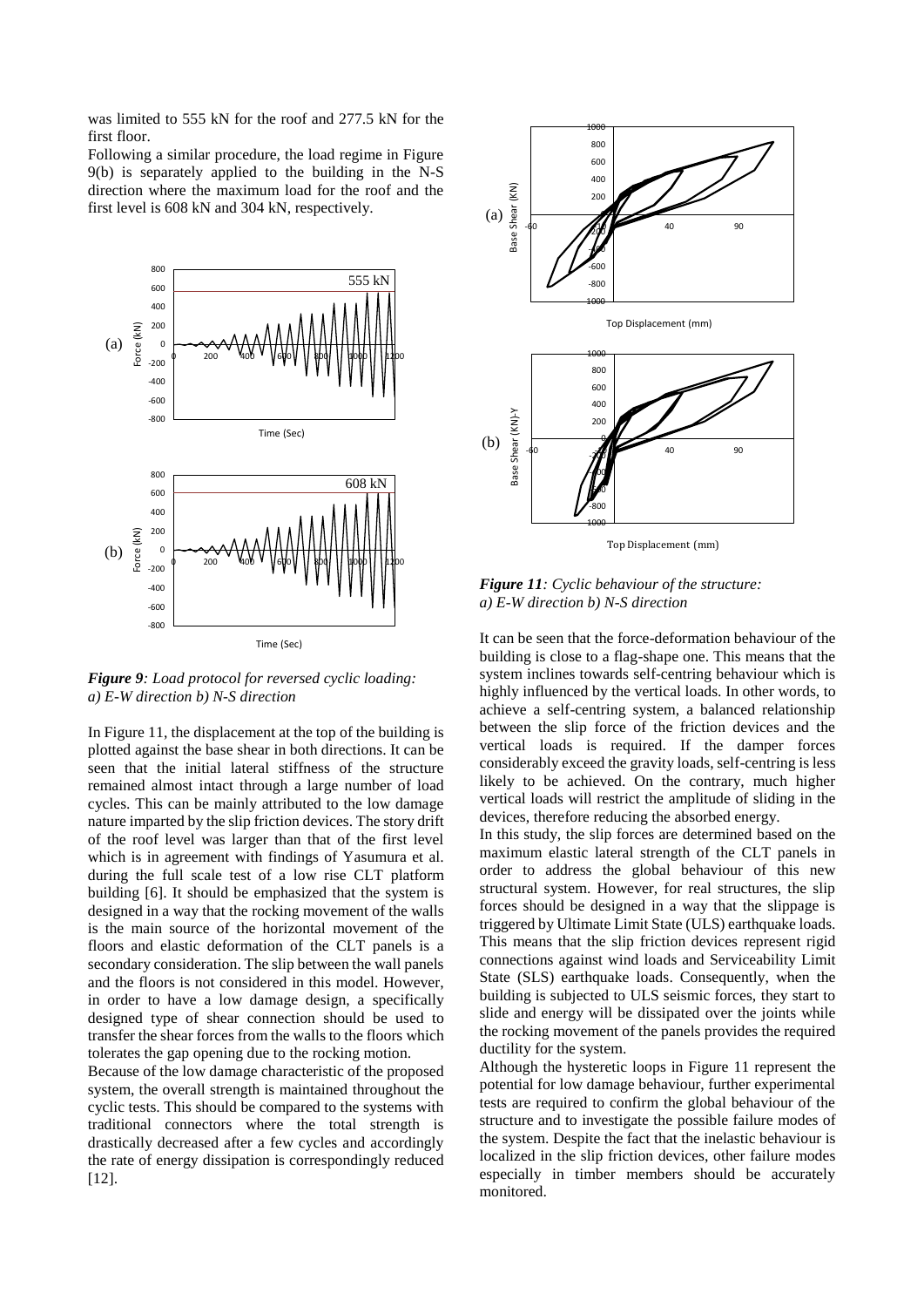was limited to 555 kN for the roof and 277.5 kN for the first floor.

Following a similar procedure, the load regime in Figure 9(b) is separately applied to the building in the N-S direction where the maximum load for the roof and the first level is 608 kN and 304 kN, respectively.



*Figure 9: Load protocol for reversed cyclic loading: a) E-W direction b) N-S direction* 

In Figure 11, the displacement at the top of the building is plotted against the base shear in both directions. It can be seen that the initial lateral stiffness of the structure remained almost intact through a large number of load cycles. This can be mainly attributed to the low damage nature imparted by the slip friction devices. The story drift of the roof level was larger than that of the first level which is in agreement with findings of Yasumura et al. during the full scale test of a low rise CLT platform building [6]. It should be emphasized that the system is designed in a way that the rocking movement of the walls is the main source of the horizontal movement of the floors and elastic deformation of the CLT panels is a secondary consideration. The slip between the wall panels and the floors is not considered in this model. However, in order to have a low damage design, a specifically designed type of shear connection should be used to transfer the shear forces from the walls to the floors which tolerates the gap opening due to the rocking motion.

Because of the low damage characteristic of the proposed system, the overall strength is maintained throughout the cyclic tests. This should be compared to the systems with traditional connectors where the total strength is drastically decreased after a few cycles and accordingly the rate of energy dissipation is correspondingly reduced [12].



*Figure 11: Cyclic behaviour of the structure: a) E-W direction b) N-S direction* 

It can be seen that the force-deformation behaviour of the building is close to a flag-shape one. This means that the system inclines towards self-centring behaviour which is highly influenced by the vertical loads. In other words, to achieve a self-centring system, a balanced relationship between the slip force of the friction devices and the vertical loads is required. If the damper forces considerably exceed the gravity loads, self-centring is less likely to be achieved. On the contrary, much higher vertical loads will restrict the amplitude of sliding in the devices, therefore reducing the absorbed energy.

In this study, the slip forces are determined based on the maximum elastic lateral strength of the CLT panels in order to address the global behaviour of this new structural system. However, for real structures, the slip forces should be designed in a way that the slippage is triggered by Ultimate Limit State (ULS) earthquake loads. This means that the slip friction devices represent rigid connections against wind loads and Serviceability Limit State (SLS) earthquake loads. Consequently, when the building is subjected to ULS seismic forces, they start to slide and energy will be dissipated over the joints while the rocking movement of the panels provides the required ductility for the system.

Although the hysteretic loops in Figure 11 represent the potential for low damage behaviour, further experimental tests are required to confirm the global behaviour of the structure and to investigate the possible failure modes of the system. Despite the fact that the inelastic behaviour is localized in the slip friction devices, other failure modes especially in timber members should be accurately monitored.